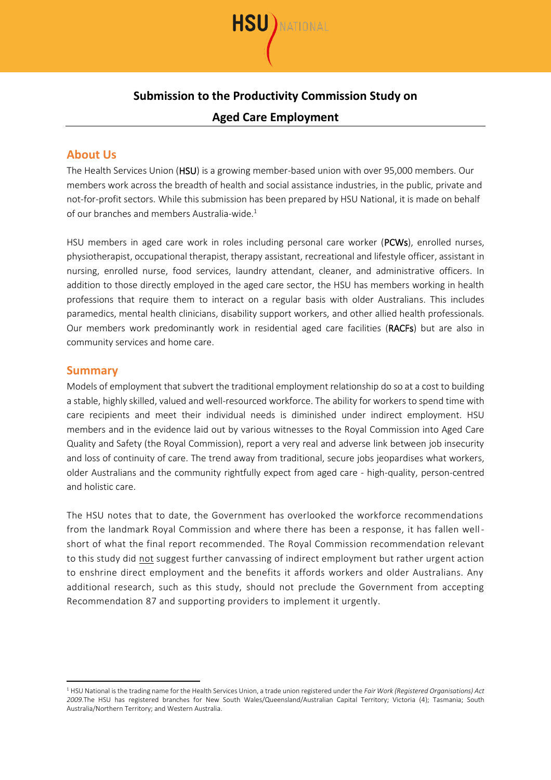

# **Submission to the Productivity Commission Study on**

### **Aged Care Employment**

## **About Us**

The Health Services Union (HSU) is a growing member-based union with over 95,000 members. Our members work across the breadth of health and social assistance industries, in the public, private and not-for-profit sectors. While this submission has been prepared by HSU National, it is made on behalf of our branches and members Australia-wide.<sup>1</sup>

HSU members in aged care work in roles including personal care worker (PCWs), enrolled nurses, physiotherapist, occupational therapist, therapy assistant, recreational and lifestyle officer, assistant in nursing, enrolled nurse, food services, laundry attendant, cleaner, and administrative officers. In addition to those directly employed in the aged care sector, the HSU has members working in health professions that require them to interact on a regular basis with older Australians. This includes paramedics, mental health clinicians, disability support workers, and other allied health professionals. Our members work predominantly work in residential aged care facilities (RACFs) but are also in community services and home care.

#### **Summary**

Models of employment that subvert the traditional employment relationship do so at a cost to building a stable, highly skilled, valued and well-resourced workforce. The ability for workers to spend time with care recipients and meet their individual needs is diminished under indirect employment. HSU members and in the evidence laid out by various witnesses to the Royal Commission into Aged Care Quality and Safety (the Royal Commission), report a very real and adverse link between job insecurity and loss of continuity of care. The trend away from traditional, secure jobs jeopardises what workers, older Australians and the community rightfully expect from aged care - high-quality, person-centred and holistic care.

The HSU notes that to date, the Government has overlooked the workforce recommendations from the landmark Royal Commission and where there has been a response, it has fallen wellshort of what the final report recommended. The Royal Commission recommendation relevant to this study did not suggest further canvassing of indirect employment but rather urgent action to enshrine direct employment and the benefits it affords workers and older Australians. Any additional research, such as this study, should not preclude the Government from accepting Recommendation 87 and supporting providers to implement it urgently.

<sup>1</sup> HSU National is the trading name for the Health Services Union, a trade union registered under the *Fair Work (Registered Organisations) Act 2009*.The HSU has registered branches for New South Wales/Queensland/Australian Capital Territory; Victoria (4); Tasmania; South Australia/Northern Territory; and Western Australia.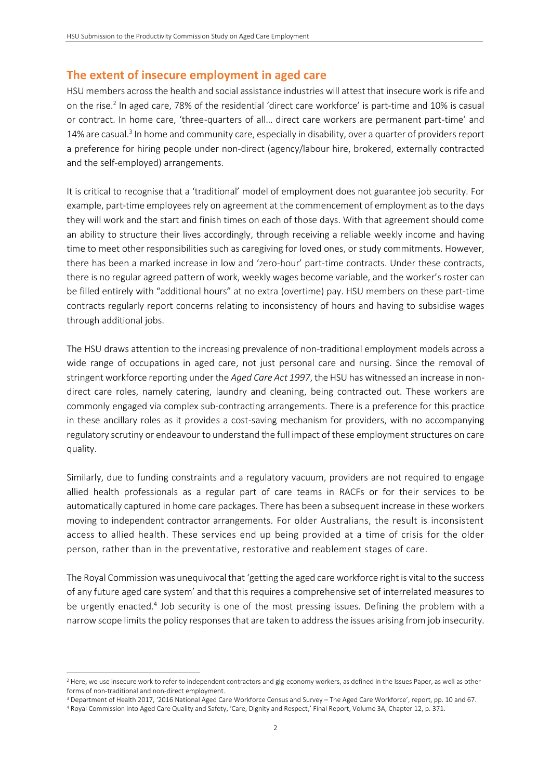## **The extent of insecure employment in aged care**

HSU members across the health and social assistance industries will attest that insecure work is rife and on the rise. 2 In aged care, 78% of the residential 'direct care workforce' is part-time and 10% is casual or contract. In home care, 'three-quarters of all… direct care workers are permanent part-time' and 14% are casual.<sup>3</sup> In home and community care, especially in disability, over a quarter of providers report a preference for hiring people under non-direct (agency/labour hire, brokered, externally contracted and the self-employed) arrangements.

It is critical to recognise that a 'traditional' model of employment does not guarantee job security. For example, part-time employees rely on agreement at the commencement of employment as to the days they will work and the start and finish times on each of those days. With that agreement should come an ability to structure their lives accordingly, through receiving a reliable weekly income and having time to meet other responsibilities such as caregiving for loved ones, or study commitments. However, there has been a marked increase in low and 'zero-hour' part-time contracts. Under these contracts, there is no regular agreed pattern of work, weekly wages become variable, and the worker's roster can be filled entirely with "additional hours" at no extra (overtime) pay. HSU members on these part-time contracts regularly report concerns relating to inconsistency of hours and having to subsidise wages through additional jobs.

The HSU draws attention to the increasing prevalence of non-traditional employment models across a wide range of occupations in aged care, not just personal care and nursing. Since the removal of stringent workforce reporting under the *Aged Care Act 1997*, the HSU has witnessed an increase in nondirect care roles, namely catering, laundry and cleaning, being contracted out. These workers are commonly engaged via complex sub-contracting arrangements. There is a preference for this practice in these ancillary roles as it provides a cost-saving mechanism for providers, with no accompanying regulatory scrutiny or endeavour to understand the full impact of these employment structures on care quality.

Similarly, due to funding constraints and a regulatory vacuum, providers are not required to engage allied health professionals as a regular part of care teams in RACFs or for their services to be automatically captured in home care packages. There has been a subsequent increase in these workers moving to independent contractor arrangements. For older Australians, the result is inconsistent access to allied health. These services end up being provided at a time of crisis for the older person, rather than in the preventative, restorative and reablement stages of care.

The Royal Commission was unequivocal that 'getting the aged care workforce right is vital to the success of any future aged care system' and that this requires a comprehensive set of interrelated measures to be urgently enacted.<sup>4</sup> Job security is one of the most pressing issues. Defining the problem with a narrowscope limits the policy responses that are taken to address the issues arising from job insecurity.

<sup>&</sup>lt;sup>2</sup> Here, we use insecure work to refer to independent contractors and gig-economy workers, as defined in the Issues Paper, as well as other forms of non-traditional and non-direct employment.

<sup>3</sup> Department of Health 2017, '2016 National Aged Care Workforce Census and Survey – The Aged Care Workforce', report, pp. 10 and 67.

<sup>4</sup> Royal Commission into Aged Care Quality and Safety, 'Care, Dignity and Respect,' Final Report, Volume 3A, Chapter 12, p. 371.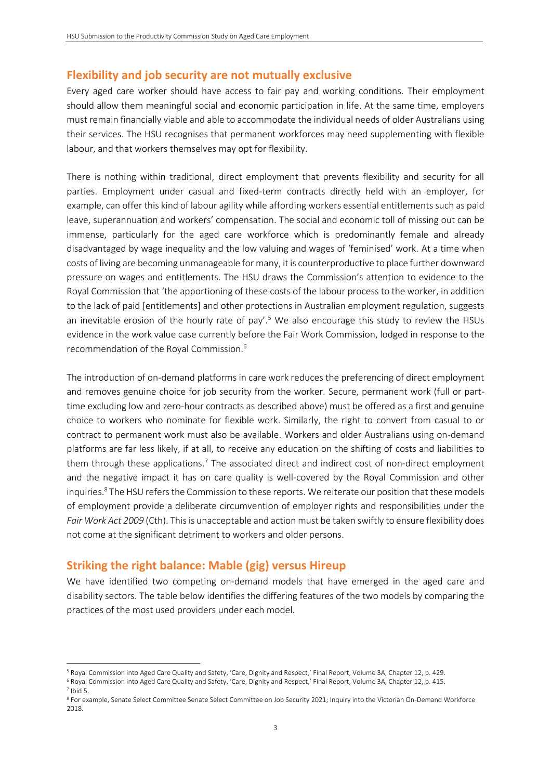#### **Flexibility and job security are not mutually exclusive**

Every aged care worker should have access to fair pay and working conditions. Their employment should allow them meaningful social and economic participation in life. At the same time, employers must remain financially viable and able to accommodate the individual needs of older Australians using their services. The HSU recognises that permanent workforces may need supplementing with flexible labour, and that workers themselves may opt for flexibility.

There is nothing within traditional, direct employment that prevents flexibility and security for all parties. Employment under casual and fixed-term contracts directly held with an employer, for example, can offer this kind of labour agility while affording workers essential entitlements such as paid leave, superannuation and workers' compensation. The social and economic toll of missing out can be immense, particularly for the aged care workforce which is predominantly female and already disadvantaged by wage inequality and the low valuing and wages of 'feminised' work. At a time when costs of living are becoming unmanageable for many, it is counterproductive to place further downward pressure on wages and entitlements. The HSU draws the Commission's attention to evidence to the Royal Commission that 'the apportioning of these costs of the labour process to the worker, in addition to the lack of paid [entitlements] and other protections in Australian employment regulation, suggests an inevitable erosion of the hourly rate of pay'.<sup>5</sup> We also encourage this study to review the HSUs evidence in the work value case currently before the Fair Work Commission, lodged in response to the recommendation of the Royal Commission.<sup>6</sup>

The introduction of on-demand platforms in care work reduces the preferencing of direct employment and removes genuine choice for job security from the worker. Secure, permanent work (full or parttime excluding low and zero-hour contracts as described above) must be offered as a first and genuine choice to workers who nominate for flexible work. Similarly, the right to convert from casual to or contract to permanent work must also be available. Workers and older Australians using on-demand platforms are far less likely, if at all, to receive any education on the shifting of costs and liabilities to them through these applications.<sup>7</sup> The associated direct and indirect cost of non-direct employment and the negative impact it has on care quality is well-covered by the Royal Commission and other inquiries.<sup>8</sup> The HSU refers the Commission to these reports. We reiterate our position that these models of employment provide a deliberate circumvention of employer rights and responsibilities under the *Fair Work Act 2009* (Cth). This is unacceptable and action must be taken swiftly to ensure flexibility does not come at the significant detriment to workers and older persons.

#### **Striking the right balance: Mable (gig) versus Hireup**

We have identified two competing on-demand models that have emerged in the aged care and disability sectors. The table below identifies the differing features of the two models by comparing the practices of the most used providers under each model.

<sup>5</sup> Royal Commission into Aged Care Quality and Safety, 'Care, Dignity and Respect,' Final Report, Volume 3A, Chapter 12, p. 429.

<sup>6</sup> Royal Commission into Aged Care Quality and Safety, 'Care, Dignity and Respect,' Final Report, Volume 3A, Chapter 12, p. 415.  $7$  Ibid 5.

<sup>8</sup> For example, Senate Select Committee Senate Select Committee on Job Security 2021; Inquiry into the Victorian On-Demand Workforce 2018.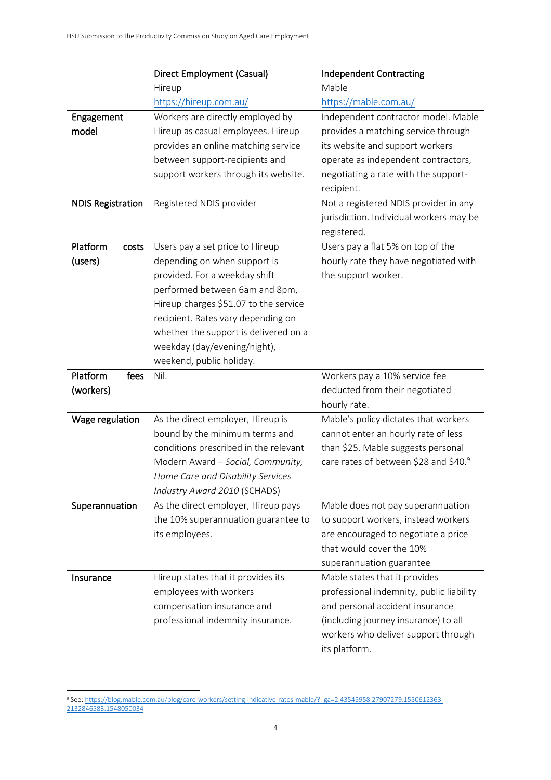|                          | <b>Direct Employment (Casual)</b>     | <b>Independent Contracting</b>           |
|--------------------------|---------------------------------------|------------------------------------------|
|                          | Hireup                                | Mable                                    |
|                          | https://hireup.com.au/                | https://mable.com.au/                    |
| Engagement               | Workers are directly employed by      | Independent contractor model. Mable      |
| model                    | Hireup as casual employees. Hireup    | provides a matching service through      |
|                          | provides an online matching service   | its website and support workers          |
|                          | between support-recipients and        | operate as independent contractors,      |
|                          | support workers through its website.  | negotiating a rate with the support-     |
|                          |                                       | recipient.                               |
| <b>NDIS Registration</b> | Registered NDIS provider              | Not a registered NDIS provider in any    |
|                          |                                       | jurisdiction. Individual workers may be  |
|                          |                                       | registered.                              |
| Platform<br>costs        | Users pay a set price to Hireup       | Users pay a flat 5% on top of the        |
| (users)                  | depending on when support is          | hourly rate they have negotiated with    |
|                          | provided. For a weekday shift         | the support worker.                      |
|                          | performed between 6am and 8pm,        |                                          |
|                          | Hireup charges \$51.07 to the service |                                          |
|                          | recipient. Rates vary depending on    |                                          |
|                          | whether the support is delivered on a |                                          |
|                          | weekday (day/evening/night),          |                                          |
|                          | weekend, public holiday.              |                                          |
| Platform<br>fees         | Nil.                                  | Workers pay a 10% service fee            |
| (workers)                |                                       | deducted from their negotiated           |
|                          |                                       | hourly rate.                             |
| Wage regulation          | As the direct employer, Hireup is     | Mable's policy dictates that workers     |
|                          | bound by the minimum terms and        | cannot enter an hourly rate of less      |
|                          | conditions prescribed in the relevant | than \$25. Mable suggests personal       |
|                          | Modern Award - Social, Community,     | care rates of between \$28 and \$40.9    |
|                          | Home Care and Disability Services     |                                          |
|                          | Industry Award 2010 (SCHADS)          |                                          |
| Superannuation           | As the direct employer, Hireup pays   | Mable does not pay superannuation        |
|                          | the 10% superannuation guarantee to   | to support workers, instead workers      |
|                          | its employees.                        | are encouraged to negotiate a price      |
|                          |                                       | that would cover the 10%                 |
|                          |                                       | superannuation guarantee                 |
| Insurance                | Hireup states that it provides its    | Mable states that it provides            |
|                          | employees with workers                | professional indemnity, public liability |
|                          | compensation insurance and            | and personal accident insurance          |
|                          | professional indemnity insurance.     | (including journey insurance) to all     |
|                          |                                       |                                          |
|                          |                                       | workers who deliver support through      |

<sup>9</sup> See[: https://blog.mable.com.au/blog/care-workers/setting-indicative-rates-mable/?\\_ga=2.43545958.27907279.1550612363-](https://blog.mable.com.au/blog/care-workers/setting-indicative-rates-mable/?_ga=2.43545958.27907279.1550612363-2132846583.1548050034) [2132846583.1548050034](https://blog.mable.com.au/blog/care-workers/setting-indicative-rates-mable/?_ga=2.43545958.27907279.1550612363-2132846583.1548050034)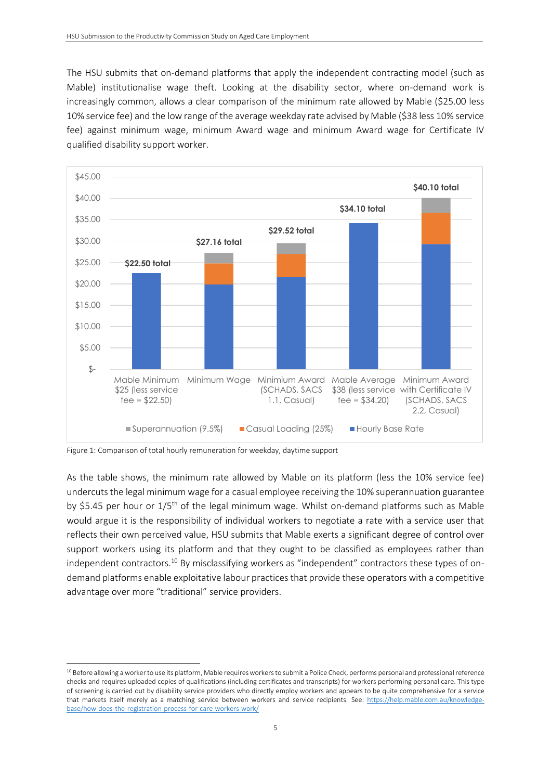The HSU submits that on-demand platforms that apply the independent contracting model (such as Mable) institutionalise wage theft. Looking at the disability sector, where on-demand work is increasingly common, allows a clear comparison of the minimum rate allowed by Mable (\$25.00 less 10% service fee) and the low range of the average weekday rate advised by Mable (\$38 less 10% service fee) against minimum wage, minimum Award wage and minimum Award wage for Certificate IV qualified disability support worker.



Figure 1: Comparison of total hourly remuneration for weekday, daytime support

As the table shows, the minimum rate allowed by Mable on its platform (less the 10% service fee) undercuts the legal minimum wage for a casual employee receiving the 10% superannuation guarantee by \$5.45 per hour or 1/5<sup>th</sup> of the legal minimum wage. Whilst on-demand platforms such as Mable would argue it is the responsibility of individual workers to negotiate a rate with a service user that reflects their own perceived value, HSU submits that Mable exerts a significant degree of control over support workers using its platform and that they ought to be classified as employees rather than independent contractors.<sup>10</sup> By misclassifying workers as "independent" contractors these types of ondemand platforms enable exploitative labour practices that provide these operators with a competitive advantage over more "traditional" service providers.

<sup>&</sup>lt;sup>10</sup> Before allowing a worker to use its platform, Mable requires workers to submit a Police Check, performs personal and professional reference checks and requires uploaded copies of qualifications (including certificates and transcripts) for workers performing personal care. This type of screening is carried out by disability service providers who directly employ workers and appears to be quite comprehensive for a service that markets itself merely as a matching service between workers and service recipients. See: [https://help.mable.com.au/knowledge](https://help.mable.com.au/knowledge-base/how-does-the-registration-process-for-care-workers-work/)[base/how-does-the-registration-process-for-care-workers-work/](https://help.mable.com.au/knowledge-base/how-does-the-registration-process-for-care-workers-work/)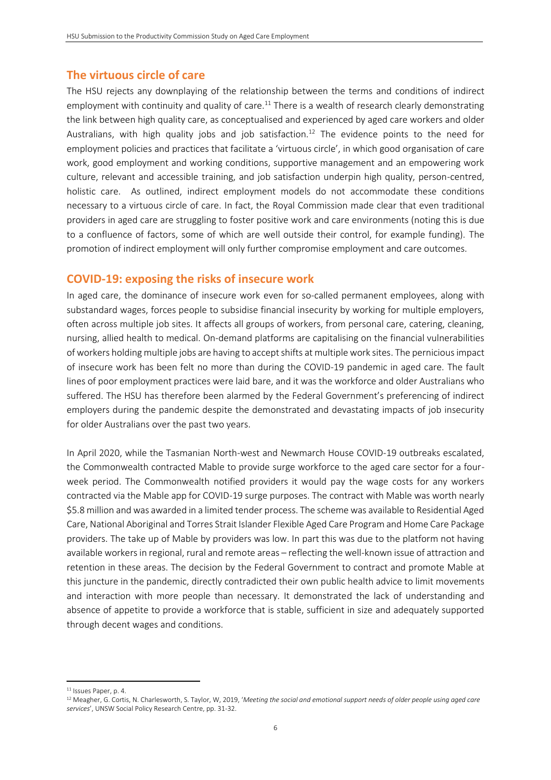### **The virtuous circle of care**

The HSU rejects any downplaying of the relationship between the terms and conditions of indirect employment with continuity and quality of care.<sup>11</sup> There is a wealth of research clearly demonstrating the link between high quality care, as conceptualised and experienced by aged care workers and older Australians, with high quality jobs and job satisfaction.<sup>12</sup> The evidence points to the need for employment policies and practices that facilitate a 'virtuous circle', in which good organisation of care work, good employment and working conditions, supportive management and an empowering work culture, relevant and accessible training, and job satisfaction underpin high quality, person-centred, holistic care. As outlined, indirect employment models do not accommodate these conditions necessary to a virtuous circle of care. In fact, the Royal Commission made clear that even traditional providers in aged care are struggling to foster positive work and care environments (noting this is due to a confluence of factors, some of which are well outside their control, for example funding). The promotion of indirect employment will only further compromise employment and care outcomes.

#### **COVID-19: exposing the risks of insecure work**

In aged care, the dominance of insecure work even for so-called permanent employees, along with substandard wages, forces people to subsidise financial insecurity by working for multiple employers, often across multiple job sites. It affects all groups of workers, from personal care, catering, cleaning, nursing, allied health to medical. On-demand platforms are capitalising on the financial vulnerabilities of workers holding multiple jobs are having to accept shifts at multiple work sites. The pernicious impact of insecure work has been felt no more than during the COVID-19 pandemic in aged care. The fault lines of poor employment practices were laid bare, and it was the workforce and older Australians who suffered. The HSU has therefore been alarmed by the Federal Government's preferencing of indirect employers during the pandemic despite the demonstrated and devastating impacts of job insecurity for older Australians over the past two years.

In April 2020, while the Tasmanian North-west and Newmarch House COVID-19 outbreaks escalated, the Commonwealth contracted Mable to provide surge workforce to the aged care sector for a fourweek period. The Commonwealth notified providers it would pay the wage costs for any workers contracted via the Mable app for COVID-19 surge purposes. The contract with Mable was worth nearly \$5.8 million and was awarded in a limited tender process. The scheme was available to Residential Aged Care, National Aboriginal and Torres Strait Islander Flexible Aged Care Program and Home Care Package providers. The take up of Mable by providers was low. In part this was due to the platform not having available workers in regional, rural and remote areas – reflecting the well-known issue of attraction and retention in these areas. The decision by the Federal Government to contract and promote Mable at this juncture in the pandemic, directly contradicted their own public health advice to limit movements and interaction with more people than necessary. It demonstrated the lack of understanding and absence of appetite to provide a workforce that is stable, sufficient in size and adequately supported through decent wages and conditions.

<sup>&</sup>lt;sup>11</sup> Issues Paper, p. 4.

<sup>12</sup> Meagher, G. Cortis, N. Charlesworth, S. Taylor, W, 2019, '*Meeting the social and emotional support needs of older people using aged care services*', UNSW Social Policy Research Centre, pp. 31-32.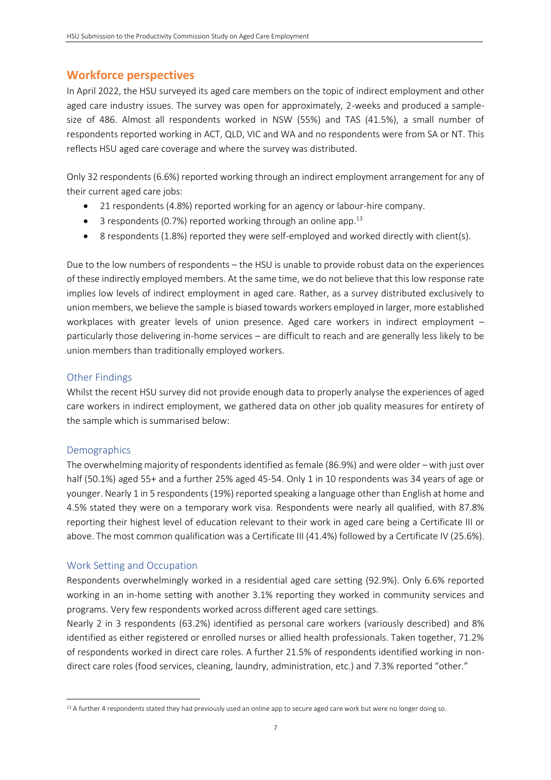### **Workforce perspectives**

In April 2022, the HSU surveyed its aged care members on the topic of indirect employment and other aged care industry issues. The survey was open for approximately, 2-weeks and produced a samplesize of 486. Almost all respondents worked in NSW (55%) and TAS (41.5%), a small number of respondents reported working in ACT, QLD, VIC and WA and no respondents were from SA or NT. This reflects HSU aged care coverage and where the survey was distributed.

Only 32 respondents (6.6%) reported working through an indirect employment arrangement for any of their current aged care jobs:

- 21 respondents (4.8%) reported working for an agency or labour-hire company.
- $\bullet$  3 respondents (0.7%) reported working through an online app.<sup>13</sup>
- 8 respondents (1.8%) reported they were self-employed and worked directly with client(s).

Due to the low numbers of respondents – the HSU is unable to provide robust data on the experiences of these indirectly employed members. At the same time, we do not believe that this low response rate implies low levels of indirect employment in aged care. Rather, as a survey distributed exclusively to union members, we believe the sample is biased towards workers employed in larger, more established workplaces with greater levels of union presence. Aged care workers in indirect employment – particularly those delivering in-home services – are difficult to reach and are generally less likely to be union members than traditionally employed workers.

#### Other Findings

Whilst the recent HSU survey did not provide enough data to properly analyse the experiences of aged care workers in indirect employment, we gathered data on other job quality measures for entirety of the sample which is summarised below:

#### **Demographics**

The overwhelming majority of respondents identified as female (86.9%) and were older – with just over half (50.1%) aged 55+ and a further 25% aged 45-54. Only 1 in 10 respondents was 34 years of age or younger. Nearly 1 in 5 respondents (19%) reported speaking a language other than English at home and 4.5% stated they were on a temporary work visa. Respondents were nearly all qualified, with 87.8% reporting their highest level of education relevant to their work in aged care being a Certificate III or above. The most common qualification was a Certificate III (41.4%) followed by a Certificate IV (25.6%).

#### Work Setting and Occupation

Respondents overwhelmingly worked in a residential aged care setting (92.9%). Only 6.6% reported working in an in-home setting with another 3.1% reporting they worked in community services and programs. Very few respondents worked across different aged care settings.

Nearly 2 in 3 respondents (63.2%) identified as personal care workers (variously described) and 8% identified as either registered or enrolled nurses or allied health professionals. Taken together, 71.2% of respondents worked in direct care roles. A further 21.5% of respondents identified working in nondirect care roles (food services, cleaning, laundry, administration, etc.) and 7.3% reported "other."

<sup>&</sup>lt;sup>13</sup> A further 4 respondents stated they had previously used an online app to secure aged care work but were no longer doing so.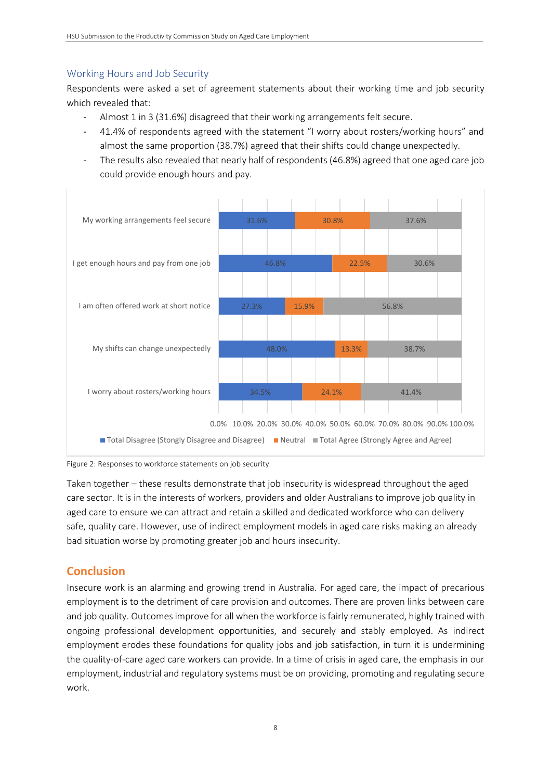### Working Hours and Job Security

Respondents were asked a set of agreement statements about their working time and job security which revealed that:

- Almost 1 in 3 (31.6%) disagreed that their working arrangements felt secure.
- 41.4% of respondents agreed with the statement "I worry about rosters/working hours" and almost the same proportion (38.7%) agreed that their shifts could change unexpectedly.
- The results also revealed that nearly half of respondents (46.8%) agreed that one aged care job could provide enough hours and pay.



Figure 2: Responses to workforce statements on job security

Taken together – these results demonstrate that job insecurity is widespread throughout the aged care sector. It is in the interests of workers, providers and older Australians to improve job quality in aged care to ensure we can attract and retain a skilled and dedicated workforce who can delivery safe, quality care. However, use of indirect employment models in aged care risks making an already bad situation worse by promoting greater job and hours insecurity.

### **Conclusion**

Insecure work is an alarming and growing trend in Australia. For aged care, the impact of precarious employment is to the detriment of care provision and outcomes. There are proven links between care and job quality. Outcomes improve for all when the workforce is fairly remunerated, highly trained with ongoing professional development opportunities, and securely and stably employed. As indirect employment erodes these foundations for quality jobs and job satisfaction, in turn it is undermining the quality-of-care aged care workers can provide. In a time of crisis in aged care, the emphasis in our employment, industrial and regulatory systems must be on providing, promoting and regulating secure work.